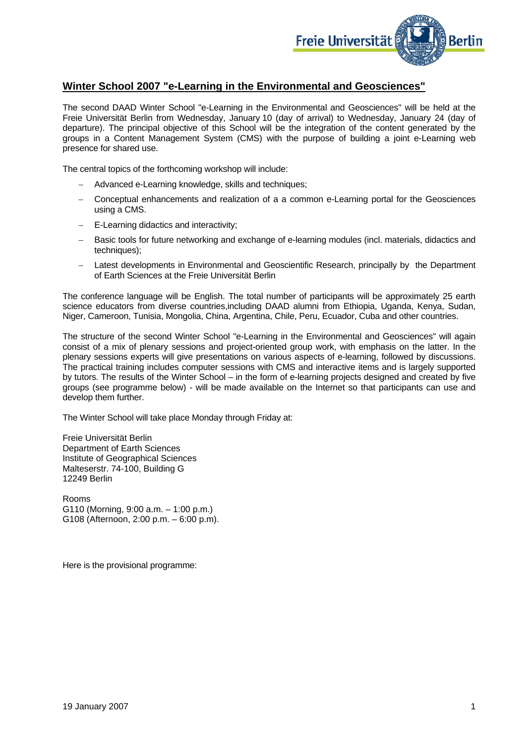

## **Winter School 2007 "e-Learning in the Environmental and Geosciences"**

The second DAAD Winter School "e-Learning in the Environmental and Geosciences" will be held at the Freie Universität Berlin from Wednesday, January 10 (day of arrival) to Wednesday, January 24 (day of departure). The principal objective of this School will be the integration of the content generated by the groups in a Content Management System (CMS) with the purpose of building a joint e-Learning web presence for shared use.

The central topics of the forthcoming workshop will include:

- − Advanced e-Learning knowledge, skills and techniques;
- − Conceptual enhancements and realization of a a common e-Learning portal for the Geosciences using a CMS.
- − E-Learning didactics and interactivity;
- − Basic tools for future networking and exchange of e-learning modules (incl. materials, didactics and techniques);
- − Latest developments in Environmental and Geoscientific Research, principally by the Department of Earth Sciences at the Freie Universität Berlin

The conference language will be English. The total number of participants will be approximately 25 earth science educators from diverse countries,including DAAD alumni from Ethiopia, Uganda, Kenya, Sudan, Niger, Cameroon, Tunisia, Mongolia, China, Argentina, Chile, Peru, Ecuador, Cuba and other countries.

The structure of the second Winter School "e-Learning in the Environmental and Geosciences" will again consist of a mix of plenary sessions and project-oriented group work, with emphasis on the latter. In the plenary sessions experts will give presentations on various aspects of e-learning, followed by discussions. The practical training includes computer sessions with CMS and interactive items and is largely supported by tutors. The results of the Winter School – in the form of e-learning projects designed and created by five groups (see programme below) - will be made available on the Internet so that participants can use and develop them further.

The Winter School will take place Monday through Friday at:

Freie Universität Berlin Department of Earth Sciences Institute of Geographical Sciences Malteserstr. 74-100, Building G 12249 Berlin

Rooms G110 (Morning, 9:00 a.m. – 1:00 p.m.) G108 (Afternoon, 2:00 p.m. – 6:00 p.m).

Here is the provisional programme: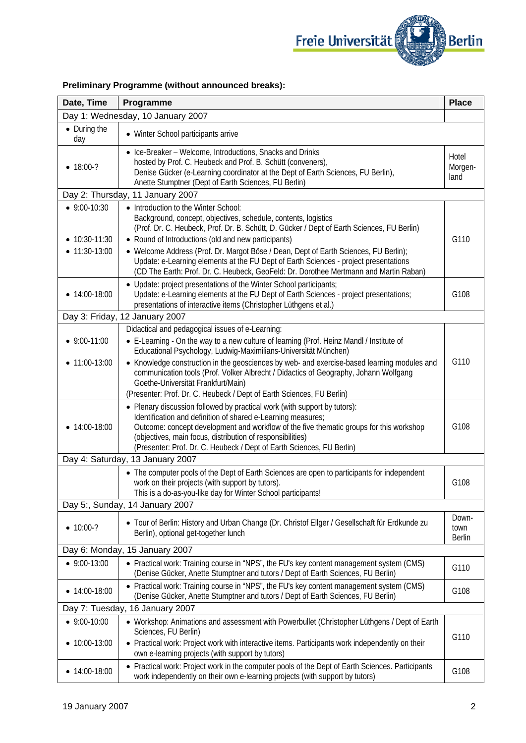

| Date, Time                        | Programme                                                                                                                                                                                                                                                                                                                                                                   | <b>Place</b>                   |  |  |
|-----------------------------------|-----------------------------------------------------------------------------------------------------------------------------------------------------------------------------------------------------------------------------------------------------------------------------------------------------------------------------------------------------------------------------|--------------------------------|--|--|
| Day 1: Wednesday, 10 January 2007 |                                                                                                                                                                                                                                                                                                                                                                             |                                |  |  |
| • During the<br>day               | • Winter School participants arrive                                                                                                                                                                                                                                                                                                                                         |                                |  |  |
| $• 18:00-?$                       | • Ice-Breaker - Welcome, Introductions, Snacks and Drinks<br>hosted by Prof. C. Heubeck and Prof. B. Schütt (conveners),<br>Denise Gücker (e-Learning coordinator at the Dept of Earth Sciences, FU Berlin),<br>Anette Stumptner (Dept of Earth Sciences, FU Berlin)                                                                                                        | Hotel<br>Morgen-<br>land       |  |  |
| Day 2: Thursday, 11 January 2007  |                                                                                                                                                                                                                                                                                                                                                                             |                                |  |  |
| $-9:00-10:30$                     | • Introduction to the Winter School:<br>Background, concept, objectives, schedule, contents, logistics<br>(Prof. Dr. C. Heubeck, Prof. Dr. B. Schütt, D. Gücker / Dept of Earth Sciences, FU Berlin)                                                                                                                                                                        |                                |  |  |
| • $10:30-11:30$<br>11:30-13:00    | • Round of Introductions (old and new participants)<br>• Welcome Address (Prof. Dr. Margot Böse / Dean, Dept of Earth Sciences, FU Berlin);<br>Update: e-Learning elements at the FU Dept of Earth Sciences - project presentations<br>(CD The Earth: Prof. Dr. C. Heubeck, GeoFeld: Dr. Dorothee Mertmann and Martin Raban)                                                | G110                           |  |  |
| $\bullet$ 14:00-18:00             | • Update: project presentations of the Winter School participants;<br>Update: e-Learning elements at the FU Dept of Earth Sciences - project presentations;<br>presentations of interactive items (Christopher Lüthgens et al.)                                                                                                                                             | G108                           |  |  |
|                                   | Day 3: Friday, 12 January 2007                                                                                                                                                                                                                                                                                                                                              |                                |  |  |
| $9:00-11:00$                      | Didactical and pedagogical issues of e-Learning:<br>• E-Learning - On the way to a new culture of learning (Prof. Heinz Mandl / Institute of<br>Educational Psychology, Ludwig-Maximilians-Universität München)                                                                                                                                                             |                                |  |  |
| 11:00-13:00                       | • Knowledge construction in the geosciences by web- and exercise-based learning modules and<br>communication tools (Prof. Volker Albrecht / Didactics of Geography, Johann Wolfgang<br>Goethe-Universität Frankfurt/Main)<br>(Presenter: Prof. Dr. C. Heubeck / Dept of Earth Sciences, FU Berlin)                                                                          | G110                           |  |  |
| $\bullet$ 14:00-18:00             | • Plenary discussion followed by practical work (with support by tutors):<br>Identification and definition of shared e-Learning measures;<br>Outcome: concept development and workflow of the five thematic groups for this workshop<br>(objectives, main focus, distribution of responsibilities)<br>(Presenter: Prof. Dr. C. Heubeck / Dept of Earth Sciences, FU Berlin) | G108                           |  |  |
| Day 4: Saturday, 13 January 2007  |                                                                                                                                                                                                                                                                                                                                                                             |                                |  |  |
|                                   | • The computer pools of the Dept of Earth Sciences are open to participants for independent<br>work on their projects (with support by tutors).<br>This is a do-as-you-like day for Winter School participants!                                                                                                                                                             | G108                           |  |  |
| Day 5:, Sunday, 14 January 2007   |                                                                                                                                                                                                                                                                                                                                                                             |                                |  |  |
| $• 10:00-?$                       | • Tour of Berlin: History and Urban Change (Dr. Christof Ellger / Gesellschaft für Erdkunde zu<br>Berlin), optional get-together lunch                                                                                                                                                                                                                                      | Down-<br>town<br><b>Berlin</b> |  |  |
|                                   | Day 6: Monday, 15 January 2007                                                                                                                                                                                                                                                                                                                                              |                                |  |  |
| $-9:00-13:00$                     | • Practical work: Training course in "NPS", the FU's key content management system (CMS)<br>(Denise Gücker, Anette Stumptner and tutors / Dept of Earth Sciences, FU Berlin)                                                                                                                                                                                                | G110                           |  |  |
| $\bullet$ 14:00-18:00             | • Practical work: Training course in "NPS", the FU's key content management system (CMS)<br>(Denise Gücker, Anette Stumptner and tutors / Dept of Earth Sciences, FU Berlin)                                                                                                                                                                                                | G108                           |  |  |
|                                   | Day 7: Tuesday, 16 January 2007                                                                                                                                                                                                                                                                                                                                             |                                |  |  |
| $-9:00-10:00$                     | • Workshop: Animations and assessment with Powerbullet (Christopher Lüthgens / Dept of Earth<br>Sciences, FU Berlin)                                                                                                                                                                                                                                                        | G110                           |  |  |
| 10:00-13:00                       | • Practical work: Project work with interactive items. Participants work independently on their<br>own e-learning projects (with support by tutors)                                                                                                                                                                                                                         |                                |  |  |
| • $14:00-18:00$                   | • Practical work: Project work in the computer pools of the Dept of Earth Sciences. Participants<br>work independently on their own e-learning projects (with support by tutors)                                                                                                                                                                                            | G108                           |  |  |

## **Preliminary Programme (without announced breaks):**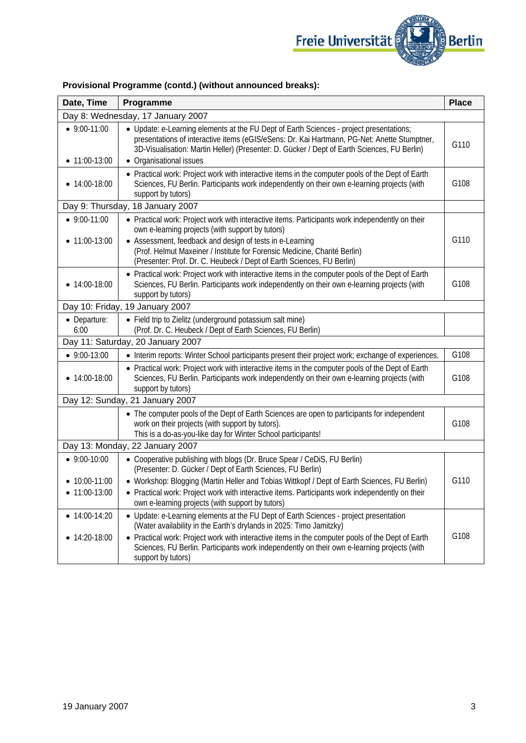

| Date, Time                                    | Programme                                                                                                                                                                                                                                                                                                                                                                             | <b>Place</b> |  |  |
|-----------------------------------------------|---------------------------------------------------------------------------------------------------------------------------------------------------------------------------------------------------------------------------------------------------------------------------------------------------------------------------------------------------------------------------------------|--------------|--|--|
| Day 8: Wednesday, 17 January 2007             |                                                                                                                                                                                                                                                                                                                                                                                       |              |  |  |
| $\bullet$ 9:00-11:00                          | • Update: e-Learning elements at the FU Dept of Earth Sciences - project presentations;<br>presentations of interactive items (eGIS/eSens: Dr. Kai Hartmann, PG-Net: Anette Stumptner,<br>3D-Visualisation: Martin Heller) (Presenter: D. Gücker / Dept of Earth Sciences, FU Berlin)                                                                                                 | G110         |  |  |
| $\bullet$ 11:00-13:00                         | • Organisational issues                                                                                                                                                                                                                                                                                                                                                               |              |  |  |
| $\bullet$ 14:00-18:00                         | • Practical work: Project work with interactive items in the computer pools of the Dept of Earth<br>Sciences, FU Berlin. Participants work independently on their own e-learning projects (with<br>support by tutors)                                                                                                                                                                 | G108         |  |  |
| Day 9: Thursday, 18 January 2007              |                                                                                                                                                                                                                                                                                                                                                                                       |              |  |  |
| $\bullet$ 9:00-11:00<br>$\bullet$ 11:00-13:00 | • Practical work: Project work with interactive items. Participants work independently on their<br>own e-learning projects (with support by tutors)<br>• Assessment, feedback and design of tests in e-Learning<br>(Prof. Helmut Maxeiner / Institute for Forensic Medicine, Charité Berlin)                                                                                          | G110         |  |  |
|                                               | (Presenter: Prof. Dr. C. Heubeck / Dept of Earth Sciences, FU Berlin)                                                                                                                                                                                                                                                                                                                 |              |  |  |
| $\bullet$ 14:00-18:00                         | • Practical work: Project work with interactive items in the computer pools of the Dept of Earth<br>Sciences, FU Berlin. Participants work independently on their own e-learning projects (with<br>support by tutors)                                                                                                                                                                 | G108         |  |  |
| Day 10: Friday, 19 January 2007               |                                                                                                                                                                                                                                                                                                                                                                                       |              |  |  |
| • Departure:<br>6:00                          | • Field trip to Zielitz (underground potassium salt mine)<br>(Prof. Dr. C. Heubeck / Dept of Earth Sciences, FU Berlin)                                                                                                                                                                                                                                                               |              |  |  |
|                                               | Day 11: Saturday, 20 January 2007                                                                                                                                                                                                                                                                                                                                                     |              |  |  |
| $-9:00-13:00$                                 | • Interim reports: Winter School participants present their project work; exchange of experiences.                                                                                                                                                                                                                                                                                    | G108         |  |  |
| $\bullet$ 14:00-18:00                         | • Practical work: Project work with interactive items in the computer pools of the Dept of Earth<br>Sciences, FU Berlin. Participants work independently on their own e-learning projects (with<br>support by tutors)                                                                                                                                                                 | G108         |  |  |
| Day 12: Sunday, 21 January 2007               |                                                                                                                                                                                                                                                                                                                                                                                       |              |  |  |
|                                               | • The computer pools of the Dept of Earth Sciences are open to participants for independent<br>work on their projects (with support by tutors).<br>This is a do-as-you-like day for Winter School participants!                                                                                                                                                                       | G108         |  |  |
| Day 13: Monday, 22 January 2007               |                                                                                                                                                                                                                                                                                                                                                                                       |              |  |  |
| $\bullet$ 9:00-10:00                          | • Cooperative publishing with blogs (Dr. Bruce Spear / CeDiS, FU Berlin)<br>(Presenter: D. Gücker / Dept of Earth Sciences, FU Berlin)                                                                                                                                                                                                                                                |              |  |  |
| $\bullet$ 10:00-11:00<br>11:00-13:00          | • Workshop: Blogging (Martin Heller and Tobias Wittkopf / Dept of Earth Sciences, FU Berlin)<br>• Practical work: Project work with interactive items. Participants work independently on their<br>own e-learning projects (with support by tutors)                                                                                                                                   | G110         |  |  |
| • $14:00-14:20$<br>14:20-18:00                | • Update: e-Learning elements at the FU Dept of Earth Sciences - project presentation<br>(Water availability in the Earth's drylands in 2025: Timo Jamitzky)<br>• Practical work: Project work with interactive items in the computer pools of the Dept of Earth<br>Sciences, FU Berlin. Participants work independently on their own e-learning projects (with<br>support by tutors) | G108         |  |  |

## **Provisional Programme (contd.) (without announced breaks):**